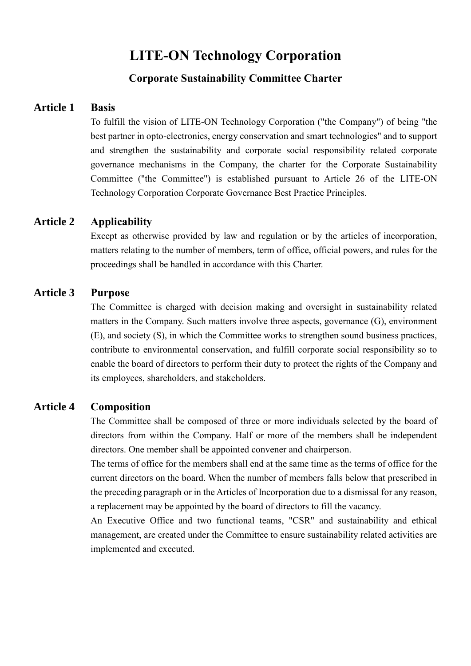# **LITE-ON Technology Corporation**

## **Corporate Sustainability Committee Charter**

## **Article 1 Basis**

To fulfill the vision of LITE-ON Technology Corporation ("the Company") of being "the best partner in opto-electronics, energy conservation and smart technologies" and to support and strengthen the sustainability and corporate social responsibility related corporate governance mechanisms in the Company, the charter for the Corporate Sustainability Committee ("the Committee") is established pursuant to Article 26 of the LITE-ON Technology Corporation Corporate Governance Best Practice Principles.

# **Article 2 Applicability**

Except as otherwise provided by law and regulation or by the articles of incorporation, matters relating to the number of members, term of office, official powers, and rules for the proceedings shall be handled in accordance with this Charter.

## **Article 3 Purpose**

The Committee is charged with decision making and oversight in sustainability related matters in the Company. Such matters involve three aspects, governance (G), environment (E), and society (S), in which the Committee works to strengthen sound business practices, contribute to environmental conservation, and fulfill corporate social responsibility so to enable the board of directors to perform their duty to protect the rights of the Company and its employees, shareholders, and stakeholders.

### **Article 4 Composition**

The Committee shall be composed of three or more individuals selected by the board of directors from within the Company. Half or more of the members shall be independent directors. One member shall be appointed convener and chairperson.

The terms of office for the members shall end at the same time as the terms of office for the current directors on the board. When the number of members falls below that prescribed in the preceding paragraph or in the Articles of Incorporation due to a dismissal for any reason, a replacement may be appointed by the board of directors to fill the vacancy.

An Executive Office and two functional teams, "CSR" and sustainability and ethical management, are created under the Committee to ensure sustainability related activities are implemented and executed.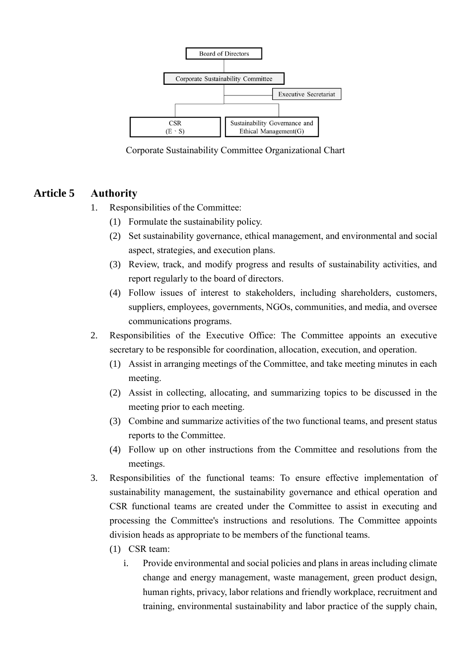

Corporate Sustainability Committee Organizational Chart

# **Article 5 Authority**

- 1. Responsibilities of the Committee:
	- (1) Formulate the sustainability policy.
	- (2) Set sustainability governance, ethical management, and environmental and social aspect, strategies, and execution plans.
	- (3) Review, track, and modify progress and results of sustainability activities, and report regularly to the board of directors.
	- (4) Follow issues of interest to stakeholders, including shareholders, customers, suppliers, employees, governments, NGOs, communities, and media, and oversee communications programs.
- 2. Responsibilities of the Executive Office: The Committee appoints an executive secretary to be responsible for coordination, allocation, execution, and operation.
	- (1) Assist in arranging meetings of the Committee, and take meeting minutes in each meeting.
	- (2) Assist in collecting, allocating, and summarizing topics to be discussed in the meeting prior to each meeting.
	- (3) Combine and summarize activities of the two functional teams, and present status reports to the Committee.
	- (4) Follow up on other instructions from the Committee and resolutions from the meetings.
- 3. Responsibilities of the functional teams: To ensure effective implementation of sustainability management, the sustainability governance and ethical operation and CSR functional teams are created under the Committee to assist in executing and processing the Committee's instructions and resolutions. The Committee appoints division heads as appropriate to be members of the functional teams.
	- (1) CSR team:
		- i. Provide environmental and social policies and plans in areas including climate change and energy management, waste management, green product design, human rights, privacy, labor relations and friendly workplace, recruitment and training, environmental sustainability and labor practice of the supply chain,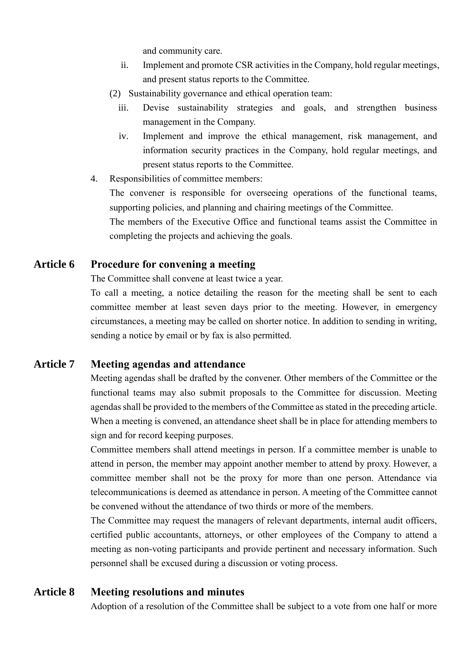and community care.

- ii. Implement and promote CSR activities in the Company, hold regular meetings, and present status reports to the Committee.
- (2) Sustainability governance and ethical operation team:
	- iii. Devise sustainability strategies and goals, and strengthen business management in the Company.
	- iv. Implement and improve the ethical management, risk management, and information security practices in the Company, hold regular meetings, and present status reports to the Committee.
- 4. Responsibilities of committee members:

The convener is responsible for overseeing operations of the functional teams, supporting policies, and planning and chairing meetings of the Committee.

The members of the Executive Office and functional teams assist the Committee in completing the projects and achieving the goals.

# **Article 6 Procedure for convening a meeting**

The Committee shall convene at least twice a year.

To call a meeting, a notice detailing the reason for the meeting shall be sent to each committee member at least seven days prior to the meeting. However, in emergency circumstances, a meeting may be called on shorter notice. In addition to sending in writing, sending a notice by email or by fax is also permitted.

# **Article 7 Meeting agendas and attendance**

Meeting agendas shall be drafted by the convener. Other members of the Committee or the functional teams may also submit proposals to the Committee for discussion. Meeting agendas shall be provided to the members of the Committee as stated in the preceding article. When a meeting is convened, an attendance sheet shall be in place for attending members to sign and for record keeping purposes.

Committee members shall attend meetings in person. If a committee member is unable to attend in person, the member may appoint another member to attend by proxy. However, a committee member shall not be the proxy for more than one person. Attendance via telecommunications is deemed as attendance in person. A meeting of the Committee cannot be convened without the attendance of two thirds or more of the members.

The Committee may request the managers of relevant departments, internal audit officers, certified public accountants, attorneys, or other employees of the Company to attend a meeting as non-voting participants and provide pertinent and necessary information. Such personnel shall be excused during a discussion or voting process.

## **Article 8 Meeting resolutions and minutes**

Adoption of a resolution of the Committee shall be subject to a vote from one half or more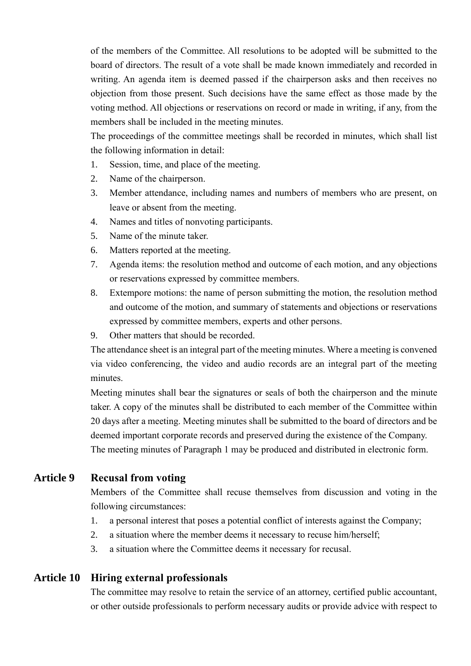of the members of the Committee. All resolutions to be adopted will be submitted to the board of directors. The result of a vote shall be made known immediately and recorded in writing. An agenda item is deemed passed if the chairperson asks and then receives no objection from those present. Such decisions have the same effect as those made by the voting method. All objections or reservations on record or made in writing, if any, from the members shall be included in the meeting minutes.

The proceedings of the committee meetings shall be recorded in minutes, which shall list the following information in detail:

- 1. Session, time, and place of the meeting.
- 2. Name of the chairperson.
- 3. Member attendance, including names and numbers of members who are present, on leave or absent from the meeting.
- 4. Names and titles of nonvoting participants.
- 5. Name of the minute taker.
- 6. Matters reported at the meeting.
- 7. Agenda items: the resolution method and outcome of each motion, and any objections or reservations expressed by committee members.
- 8. Extempore motions: the name of person submitting the motion, the resolution method and outcome of the motion, and summary of statements and objections or reservations expressed by committee members, experts and other persons.
- 9. Other matters that should be recorded.

The attendance sheet is an integral part of the meeting minutes. Where a meeting is convened via video conferencing, the video and audio records are an integral part of the meeting minutes.

Meeting minutes shall bear the signatures or seals of both the chairperson and the minute taker. A copy of the minutes shall be distributed to each member of the Committee within 20 days after a meeting. Meeting minutes shall be submitted to the board of directors and be deemed important corporate records and preserved during the existence of the Company. The meeting minutes of Paragraph 1 may be produced and distributed in electronic form.

## **Article 9 Recusal from voting**

Members of the Committee shall recuse themselves from discussion and voting in the following circumstances:

- 1. a personal interest that poses a potential conflict of interests against the Company;
- 2. a situation where the member deems it necessary to recuse him/herself;
- 3. a situation where the Committee deems it necessary for recusal.

#### **Article 10 Hiring external professionals**

The committee may resolve to retain the service of an attorney, certified public accountant, or other outside professionals to perform necessary audits or provide advice with respect to